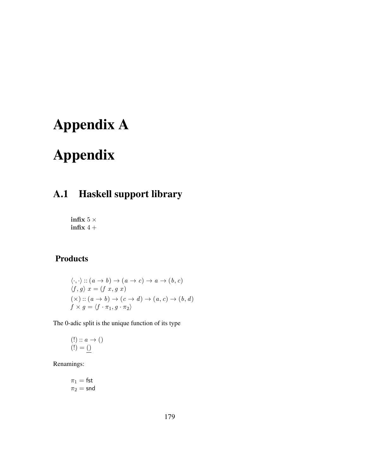# Appendix A

# Appendix

# A.1 Haskell support library

infix  $5$   $\times$  $\inf x 4 +$ 

## Products

$$
\langle \cdot, \cdot \rangle :: (a \to b) \to (a \to c) \to a \to (b, c)
$$
  

$$
\langle f, g \rangle x = (f x, g x)
$$
  

$$
(\times) :: (a \to b) \to (c \to d) \to (a, c) \to (b, d)
$$
  

$$
f \times g = \langle f \cdot \pi_1, g \cdot \pi_2 \rangle
$$

The 0-adic split is the unique function of its type

$$
\begin{array}{l} (!) :: a \to () \\ (!) = () \end{array}
$$

Renamings:

$$
\pi_1 = \mathsf{fst}
$$

$$
\pi_2 = \mathsf{snd}
$$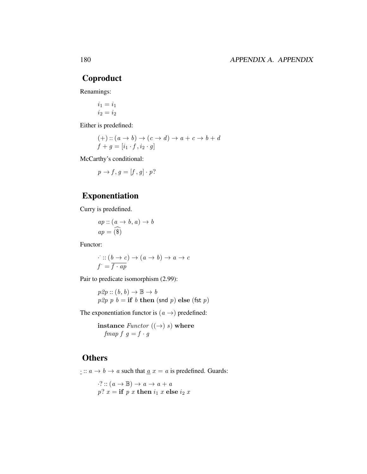### Coproduct

Renamings:

$$
\begin{aligned}\ni_1 &= i_1\\ i_2 &= i_2\end{aligned}
$$

Either is predefined:

$$
\begin{array}{c} (+) :: (a \rightarrow b) \rightarrow (c \rightarrow d) \rightarrow a + c \rightarrow b + d \\ f + g = [i_1 \cdot f, i_2 \cdot g] \end{array}
$$

McCarthy's conditional:

 $p \rightarrow f, q = [f, q] \cdot p?$ 

## Exponentiation

Curry is predefined.

$$
ap :: (a \to b, a) \to b
$$

$$
ap = \widehat{(*)}
$$

Functor:

$$
\therefore : (b \to c) \to (a \to b) \to a \to c
$$
  

$$
f = \overline{f \cdot ap}
$$

Pair to predicate isomorphism (2.99):

 $p2p :: (b, b) \rightarrow \mathbb{B} \rightarrow b$  $p2p$  p  $b =$  if b then (snd p) else (fst p)

The exponentiation functor is  $(a \rightarrow)$  predefined:

instance  $\text{Function } ((\rightarrow) \text{ s})$  where fmap  $f \, g = f \cdot g$ 

### **Others**

 $\cdot$ :  $a \rightarrow b \rightarrow a$  such that  $\underline{a} x = a$  is predefined. Guards:

 $\cdot$ ? ::  $(a \rightarrow \mathbb{B}) \rightarrow a \rightarrow a + a$  $p? x = if p x then i<sub>1</sub> x else i<sub>2</sub> x$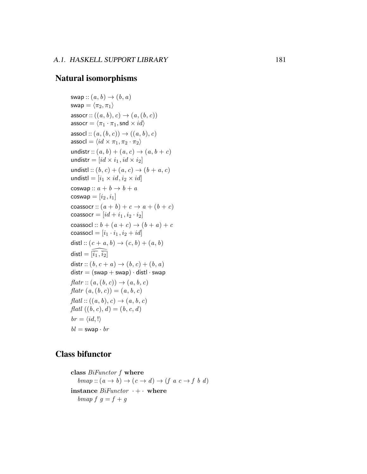#### Natural isomorphisms

```
swap :: (a, b) \rightarrow (b, a)swap = \langle \pi_2, \pi_1 \rangleassocr :: ((a, b), c) \rightarrow (a, (b, c))assocr = \langle \pi_1 \cdot \pi_1, snd \times id \rangleassocl :: (a, (b, c)) \rightarrow ((a, b), c)assocl = \langle id \times \pi_1, \pi_2 \cdot \pi_2 \rangleundistr :: (a, b) + (a, c) \rightarrow (a, b + c)undistr = (id \times i_1, id \times i_2]undistl :: (b, c) + (a, c) \rightarrow (b + a, c)undistl = [i_1 \times id, i_2 \times id]coswap :: a + b \rightarrow b + acoswap = [i_2, i_1]coassocr :: (a + b) + c \rightarrow a + (b + c)coassocr = (id + i_1, i_2 \cdot i_2]coassocl :: b + (a + c) \rightarrow (b + a) + ccoassocl = [i_1 \cdot i_1, i_2 + id]distl :: (c + a, b) \to (c, b) + (a, b)distl = \widehat{|\tilde{i}_1},\overline{\tilde{i}_2}|distr :: (b, c + a) \rightarrow (b, c) + (b, a)distr = (swap + swap) \cdot distl \cdot swapflat: (a, (b, c)) \rightarrow (a, b, c)flat (a, (b, c)) = (a, b, c)flat!:: ((a, b), c) \rightarrow (a, b, c)flatl ((b, c), d) = (b, c, d)br = \langle id, ! \ranglebl =swap \cdot br
```
#### Class bifunctor

```
class BiFunctor f where
bmap :: (a \rightarrow b) \rightarrow (c \rightarrow d) \rightarrow (f \ a \ c \rightarrow f \ b \ d)instance BiFunction + \cdot where
bmap f \, g = f + g
```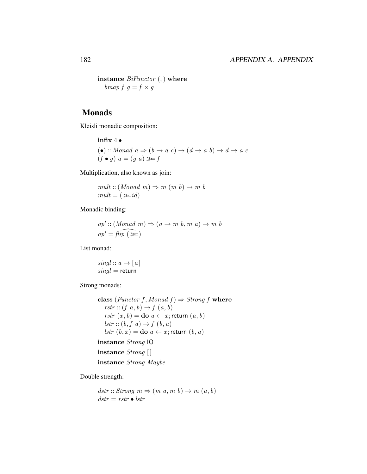instance  $BiFunction$  (,) where bmap  $f \, g = f \times g$ 

#### Monads

Kleisli monadic composition:

infix 4 •

$$
(\bullet) :: Monad \ a \Rightarrow (b \rightarrow a \ c) \rightarrow (d \rightarrow a \ b) \rightarrow d \rightarrow a \ c
$$
  
( $f \bullet g$ )  $a = (g \ a) \gg f$ 

Multiplication, also known as join:

 $mult::(Monad\ m)\Rightarrow m\ (m\ b)\rightarrow m\ b$  $mult = (\gg id)$ 

Monadic binding:

 $ap':: (Monad \, m) \Rightarrow (a \rightarrow m \, b, m \, a) \rightarrow m \, b$  $ap' = \widehat{flip}(\geqslant)$ 

List monad:

 $singl :: a \rightarrow [a]$  $singl =$  return

Strong monads:

class (Functor f, Monad f)  $\Rightarrow$  Strong f where rstr ::  $(f \ a, b) \rightarrow f \ (a, b)$ rstr  $(x, b) =$ **do**  $a \leftarrow x$ ; return  $(a, b)$  $lstr :: (b, f, a) \rightarrow f (b, a)$ *lstr*  $(b, x) =$ **do**  $a \leftarrow x$ ; return  $(b, a)$ 

### instance Strong IO

instance Strong [] instance Strong Maybe

Double strength:

 $dstr :: Strong \, m \Rightarrow (m \, a, m \, b) \rightarrow m \, (a, b)$  $dstr = rstr \bullet lstr$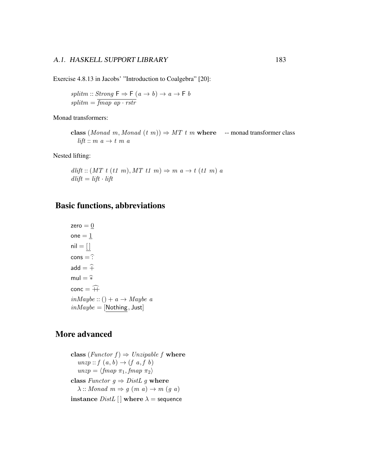Exercise 4.8.13 in Jacobs' "Introduction to Coalgebra" [20]:

splitm :: Strong  $F \Rightarrow F(a \rightarrow b) \rightarrow a \rightarrow F b$  $splitm = \overline{fmap\ ap\cdot rstr}$ 

Monad transformers:

class (Monad m, Monad  $(t m)$ )  $\Rightarrow$  MT  $t m$  where -- monad transformer class lift ::  $m\ a \rightarrow t\ m\ a$ 

Nested lifting:

 $d$ *lift* ::  $(MT \ t \ (t1 \ m), MT \ t1 \ m) \Rightarrow m \ a \rightarrow t \ (t1 \ m) \ a$  $d$ *lift* = *lift* · *lift* 

#### Basic functions, abbreviations

zero  $=$   $\underline{0}$  $one = 1$  $\mathsf{nil} = []$  $cons = \hat{B}$ add  $=$   $\widehat{+}$  $mul = \hat{*}$  $\text{conc} = \widehat{++}$  $in Maybe :: () + a \rightarrow Maybe a$  $in Maybe = [Nothing, Just]$ 

#### More advanced

class (Functor  $f$ )  $\Rightarrow$  Unzipable f where  $unzp :: f(a, b) \rightarrow (f a, f b)$  $unzp = \langle \text{fmap } \pi_1, \text{fmap } \pi_2 \rangle$ class Functor  $g \Rightarrow DistL$  g where  $\lambda$  :: Monad  $m \Rightarrow g \ (m \ a) \rightarrow m \ (g \ a)$ instance  $DistL$  | where  $\lambda$  = sequence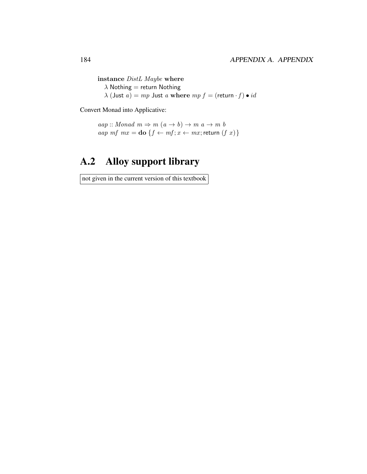instance DistL Maybe where  $\lambda$  Nothing = return Nothing  $\lambda$  (Just  $a) = mp$  Just  $a$  where  $mp f = ($ return  $\cdot f) \bullet id$ 

Convert Monad into Applicative:

```
aap :: Monad m \Rightarrow m(a \rightarrow b) \rightarrow m a \rightarrow m baap mf mx =do {f \leftarrow mf; x \leftarrow mx; return (f(x)}
```
# A.2 Alloy support library

not given in the current version of this textbook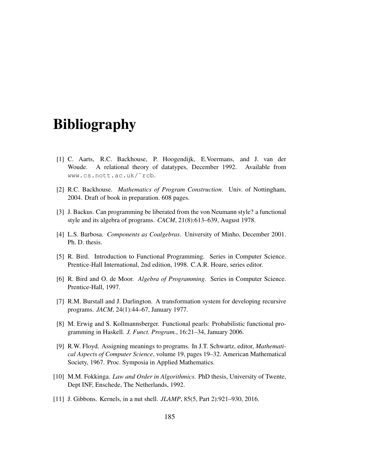# Bibliography

- [1] C. Aarts, R.C. Backhouse, P. Hoogendijk, E.Voermans, and J. van der Woude. A relational theory of datatypes, December 1992. Available from www.cs.nott.ac.uk/˜rcb.
- [2] R.C. Backhouse. *Mathematics of Program Construction*. Univ. of Nottingham, 2004. Draft of book in preparation. 608 pages.
- [3] J. Backus. Can programming be liberated from the von Neumann style? a functional style and its algebra of programs. *CACM*, 21(8):613–639, August 1978.
- [4] L.S. Barbosa. *Components as Coalgebras*. University of Minho, December 2001. Ph. D. thesis.
- [5] R. Bird. Introduction to Functional Programming. Series in Computer Science. Prentice-Hall International, 2nd edition, 1998. C.A.R. Hoare, series editor.
- [6] R. Bird and O. de Moor. *Algebra of Programming*. Series in Computer Science. Prentice-Hall, 1997.
- [7] R.M. Burstall and J. Darlington. A transformation system for developing recursive programs. *JACM*, 24(1):44–67, January 1977.
- [8] M. Erwig and S. Kollmannsberger. Functional pearls: Probabilistic functional programming in Haskell. *J. Funct. Program.*, 16:21–34, January 2006.
- [9] R.W. Floyd. Assigning meanings to programs. In J.T. Schwartz, editor, *Mathematical Aspects of Computer Science*, volume 19, pages 19–32. American Mathematical Society, 1967. Proc. Symposia in Applied Mathematics.
- [10] M.M. Fokkinga. *Law and Order in Algorithmics*. PhD thesis, University of Twente, Dept INF, Enschede, The Netherlands, 1992.
- [11] J. Gibbons. Kernels, in a nut shell. *JLAMP*, 85(5, Part 2):921–930, 2016.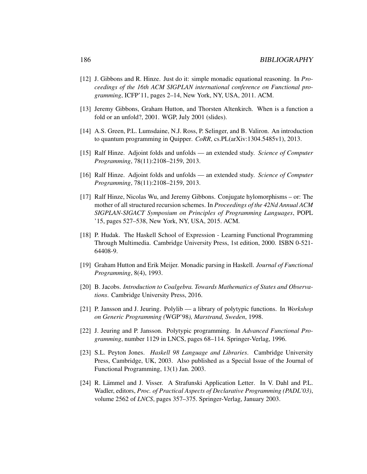- [12] J. Gibbons and R. Hinze. Just do it: simple monadic equational reasoning. In *Proceedings of the 16th ACM SIGPLAN international conference on Functional programming*, ICFP'11, pages 2–14, New York, NY, USA, 2011. ACM.
- [13] Jeremy Gibbons, Graham Hutton, and Thorsten Altenkirch. When is a function a fold or an unfold?, 2001. WGP, July 2001 (slides).
- [14] A.S. Green, P.L. Lumsdaine, N.J. Ross, P. Selinger, and B. Valiron. An introduction to quantum programming in Quipper. *CoRR*, cs.PL(arXiv:1304.5485v1), 2013.
- [15] Ralf Hinze. Adjoint folds and unfolds an extended study. *Science of Computer Programming*, 78(11):2108–2159, 2013.
- [16] Ralf Hinze. Adjoint folds and unfolds an extended study. *Science of Computer Programming*, 78(11):2108–2159, 2013.
- [17] Ralf Hinze, Nicolas Wu, and Jeremy Gibbons. Conjugate hylomorphisms or: The mother of all structured recursion schemes. In *Proceedings of the 42Nd Annual ACM SIGPLAN-SIGACT Symposium on Principles of Programming Languages*, POPL '15, pages 527–538, New York, NY, USA, 2015. ACM.
- [18] P. Hudak. The Haskell School of Expression Learning Functional Programming Through Multimedia. Cambridge University Press, 1st edition, 2000. ISBN 0-521- 64408-9.
- [19] Graham Hutton and Erik Meijer. Monadic parsing in Haskell. *Journal of Functional Programming*, 8(4), 1993.
- [20] B. Jacobs. *Introduction to Coalgebra. Towards Mathematics of States and Observations*. Cambridge University Press, 2016.
- [21] P. Jansson and J. Jeuring. Polylib a library of polytypic functions. In *Workshop on Generic Programming (*WGP'98*), Marstrand, Sweden*, 1998.
- [22] J. Jeuring and P. Jansson. Polytypic programming. In *Advanced Functional Programming*, number 1129 in LNCS, pages 68–114. Springer-Verlag, 1996.
- [23] S.L. Peyton Jones. *Haskell 98 Language and Libraries*. Cambridge University Press, Cambridge, UK, 2003. Also published as a Special Issue of the Journal of Functional Programming, 13(1) Jan. 2003.
- [24] R. Lämmel and J. Visser. A Strafunski Application Letter. In V. Dahl and P.L. Wadler, editors, *Proc. of Practical Aspects of Declarative Programming (PADL'03)*, volume 2562 of *LNCS*, pages 357–375. Springer-Verlag, January 2003.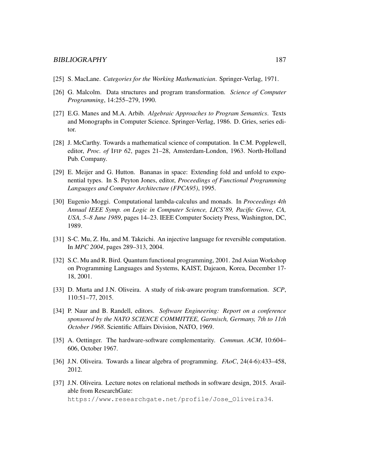- [25] S. MacLane. *Categories for the Working Mathematician*. Springer-Verlag, 1971.
- [26] G. Malcolm. Data structures and program transformation. *Science of Computer Programming*, 14:255–279, 1990.
- [27] E.G. Manes and M.A. Arbib. *Algebraic Approaches to Program Semantics*. Texts and Monographs in Computer Science. Springer-Verlag, 1986. D. Gries, series editor.
- [28] J. McCarthy. Towards a mathematical science of computation. In C.M. Popplewell, editor, *Proc. of* IFIP *62*, pages 21–28, Amsterdam-London, 1963. North-Holland Pub. Company.
- [29] E. Meijer and G. Hutton. Bananas in space: Extending fold and unfold to exponential types. In S. Peyton Jones, editor, *Proceedings of Functional Programming Languages and Computer Architecture (FPCA95)*, 1995.
- [30] Eugenio Moggi. Computational lambda-calculus and monads. In *Proceedings 4th Annual IEEE Symp. on Logic in Computer Science, LICS'89, Pacific Grove, CA, USA, 5–8 June 1989*, pages 14–23. IEEE Computer Society Press, Washington, DC, 1989.
- [31] S-C. Mu, Z. Hu, and M. Takeichi. An injective language for reversible computation. In *MPC 2004*, pages 289–313, 2004.
- [32] S.C. Mu and R. Bird. Quantum functional programming, 2001. 2nd Asian Workshop on Programming Languages and Systems, KAIST, Dajeaon, Korea, December 17- 18, 2001.
- [33] D. Murta and J.N. Oliveira. A study of risk-aware program transformation. *SCP*, 110:51–77, 2015.
- [34] P. Naur and B. Randell, editors. *Software Engineering: Report on a conference sponsored by the NATO SCIENCE COMMITTEE, Garmisch, Germany, 7th to 11th October 1968*. Scientific Affairs Division, NATO, 1969.
- [35] A. Oettinger. The hardware-software complementarity. *Commun. ACM*, 10:604– 606, October 1967.
- [36] J.N. Oliveira. Towards a linear algebra of programming. *FAoC*, 24(4-6):433–458, 2012.
- [37] J.N. Oliveira. Lecture notes on relational methods in software design, 2015. Available from ResearchGate: https://www.researchgate.net/profile/Jose\_Oliveira34.